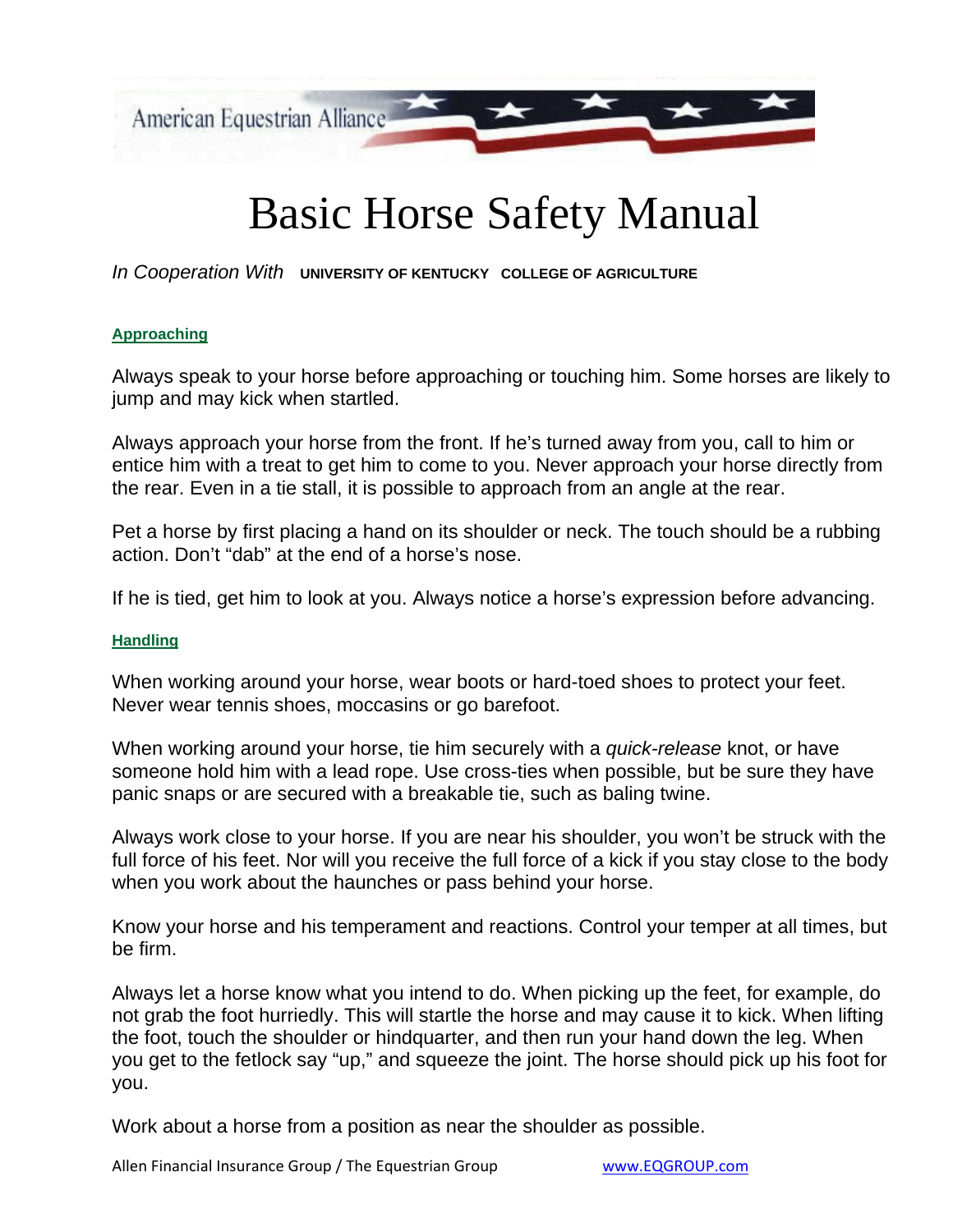

# Basic Horse Safety Manual

*In Cooperation With* **UNIVERSITY OF KENTUCKY COLLEGE OF AGRICULTURE**

#### **Approaching**

Always speak to your horse before approaching or touching him. Some horses are likely to jump and may kick when startled.

Always approach your horse from the front. If he's turned away from you, call to him or entice him with a treat to get him to come to you. Never approach your horse directly from the rear. Even in a tie stall, it is possible to approach from an angle at the rear.

Pet a horse by first placing a hand on its shoulder or neck. The touch should be a rubbing action. Don't "dab" at the end of a horse's nose.

If he is tied, get him to look at you. Always notice a horse's expression before advancing.

#### **Handling**

When working around your horse, wear boots or hard-toed shoes to protect your feet. Never wear tennis shoes, moccasins or go barefoot.

When working around your horse, tie him securely with a *quick-release* knot, or have someone hold him with a lead rope. Use cross-ties when possible, but be sure they have panic snaps or are secured with a breakable tie, such as baling twine.

Always work close to your horse. If you are near his shoulder, you won't be struck with the full force of his feet. Nor will you receive the full force of a kick if you stay close to the body when you work about the haunches or pass behind your horse.

Know your horse and his temperament and reactions. Control your temper at all times, but be firm.

Always let a horse know what you intend to do. When picking up the feet, for example, do not grab the foot hurriedly. This will startle the horse and may cause it to kick. When lifting the foot, touch the shoulder or hindquarter, and then run your hand down the leg. When you get to the fetlock say "up," and squeeze the joint. The horse should pick up his foot for you.

Work about a horse from a position as near the shoulder as possible.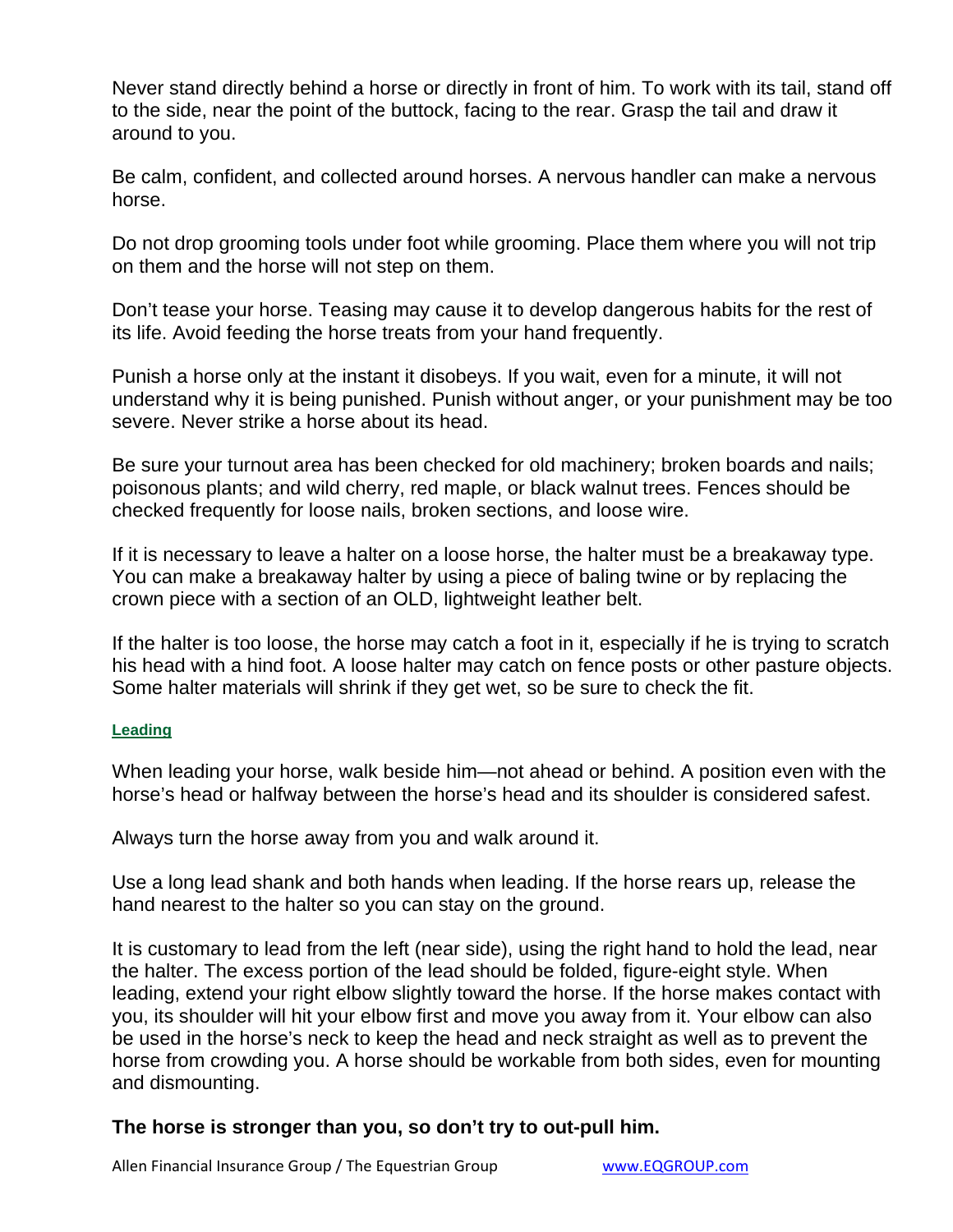Never stand directly behind a horse or directly in front of him. To work with its tail, stand off to the side, near the point of the buttock, facing to the rear. Grasp the tail and draw it around to you.

Be calm, confident, and collected around horses. A nervous handler can make a nervous horse.

Do not drop grooming tools under foot while grooming. Place them where you will not trip on them and the horse will not step on them.

Don't tease your horse. Teasing may cause it to develop dangerous habits for the rest of its life. Avoid feeding the horse treats from your hand frequently.

Punish a horse only at the instant it disobeys. If you wait, even for a minute, it will not understand why it is being punished. Punish without anger, or your punishment may be too severe. Never strike a horse about its head.

Be sure your turnout area has been checked for old machinery; broken boards and nails; poisonous plants; and wild cherry, red maple, or black walnut trees. Fences should be checked frequently for loose nails, broken sections, and loose wire.

If it is necessary to leave a halter on a loose horse, the halter must be a breakaway type. You can make a breakaway halter by using a piece of baling twine or by replacing the crown piece with a section of an OLD, lightweight leather belt.

If the halter is too loose, the horse may catch a foot in it, especially if he is trying to scratch his head with a hind foot. A loose halter may catch on fence posts or other pasture objects. Some halter materials will shrink if they get wet, so be sure to check the fit.

#### **Leading**

When leading your horse, walk beside him—not ahead or behind. A position even with the horse's head or halfway between the horse's head and its shoulder is considered safest.

Always turn the horse away from you and walk around it.

Use a long lead shank and both hands when leading. If the horse rears up, release the hand nearest to the halter so you can stay on the ground.

It is customary to lead from the left (near side), using the right hand to hold the lead, near the halter. The excess portion of the lead should be folded, figure-eight style. When leading, extend your right elbow slightly toward the horse. If the horse makes contact with you, its shoulder will hit your elbow first and move you away from it. Your elbow can also be used in the horse's neck to keep the head and neck straight as well as to prevent the horse from crowding you. A horse should be workable from both sides, even for mounting and dismounting.

#### **The horse is stronger than you, so don't try to out-pull him.**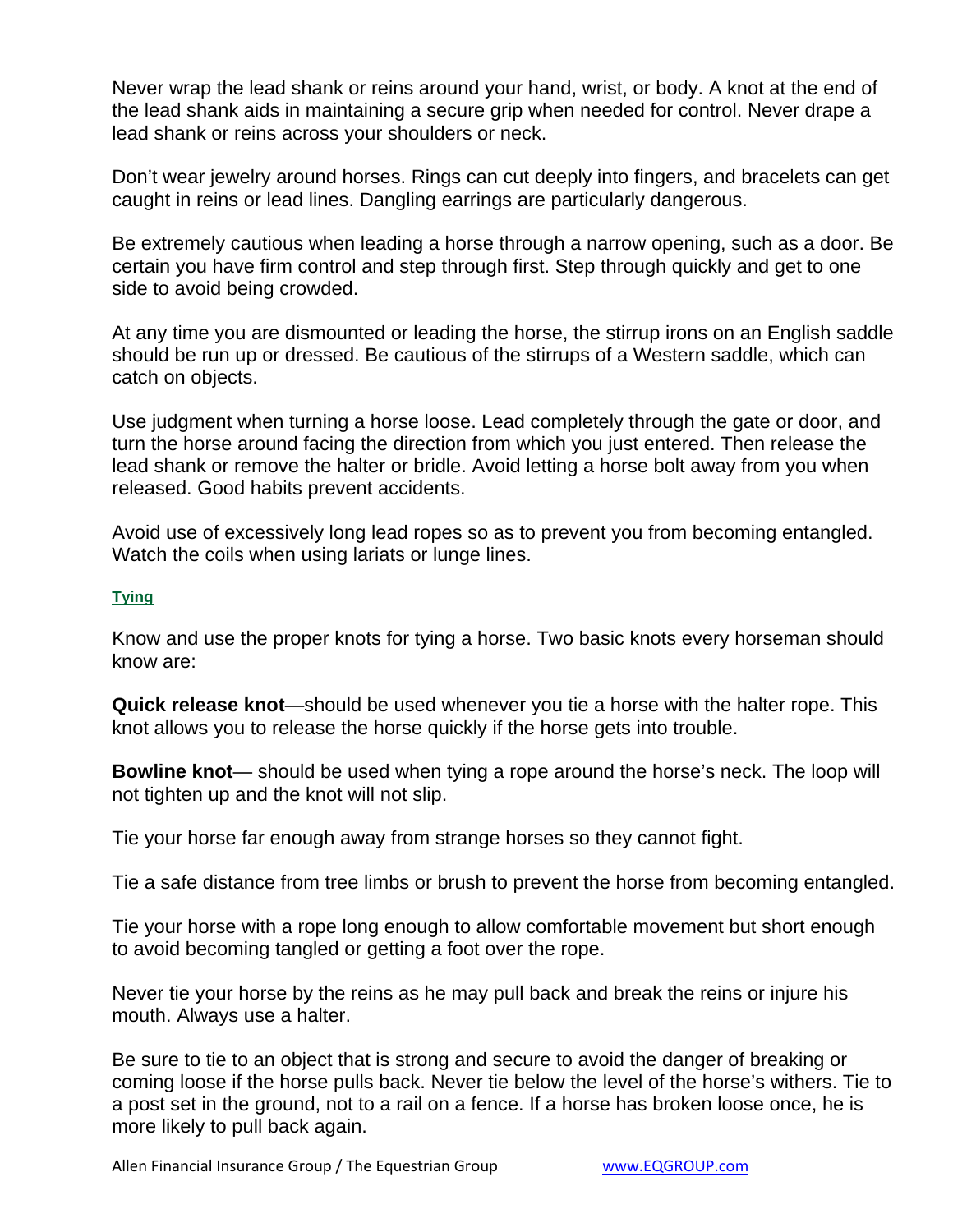Never wrap the lead shank or reins around your hand, wrist, or body. A knot at the end of the lead shank aids in maintaining a secure grip when needed for control. Never drape a lead shank or reins across your shoulders or neck.

Don't wear jewelry around horses. Rings can cut deeply into fingers, and bracelets can get caught in reins or lead lines. Dangling earrings are particularly dangerous.

Be extremely cautious when leading a horse through a narrow opening, such as a door. Be certain you have firm control and step through first. Step through quickly and get to one side to avoid being crowded.

At any time you are dismounted or leading the horse, the stirrup irons on an English saddle should be run up or dressed. Be cautious of the stirrups of a Western saddle, which can catch on objects.

Use judgment when turning a horse loose. Lead completely through the gate or door, and turn the horse around facing the direction from which you just entered. Then release the lead shank or remove the halter or bridle. Avoid letting a horse bolt away from you when released. Good habits prevent accidents.

Avoid use of excessively long lead ropes so as to prevent you from becoming entangled. Watch the coils when using lariats or lunge lines.

#### **Tying**

Know and use the proper knots for tying a horse. Two basic knots every horseman should know are:

**Quick release knot**—should be used whenever you tie a horse with the halter rope. This knot allows you to release the horse quickly if the horse gets into trouble.

**Bowline knot**— should be used when tying a rope around the horse's neck. The loop will not tighten up and the knot will not slip.

Tie your horse far enough away from strange horses so they cannot fight.

Tie a safe distance from tree limbs or brush to prevent the horse from becoming entangled.

Tie your horse with a rope long enough to allow comfortable movement but short enough to avoid becoming tangled or getting a foot over the rope.

Never tie your horse by the reins as he may pull back and break the reins or injure his mouth. Always use a halter.

Be sure to tie to an object that is strong and secure to avoid the danger of breaking or coming loose if the horse pulls back. Never tie below the level of the horse's withers. Tie to a post set in the ground, not to a rail on a fence. If a horse has broken loose once, he is more likely to pull back again.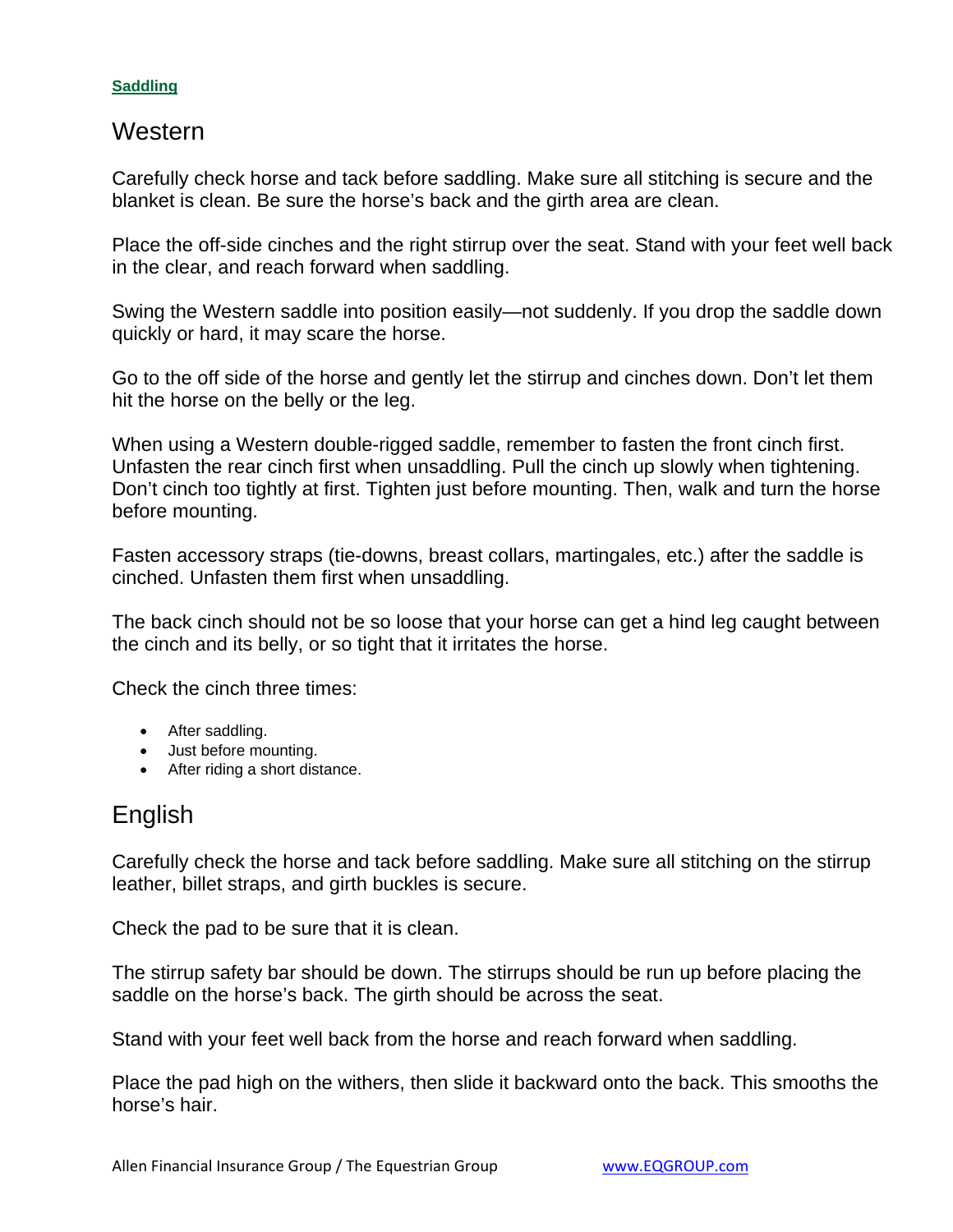#### **Saddling**

#### **Western**

Carefully check horse and tack before saddling. Make sure all stitching is secure and the blanket is clean. Be sure the horse's back and the girth area are clean.

Place the off-side cinches and the right stirrup over the seat. Stand with your feet well back in the clear, and reach forward when saddling.

Swing the Western saddle into position easily—not suddenly. If you drop the saddle down quickly or hard, it may scare the horse.

Go to the off side of the horse and gently let the stirrup and cinches down. Don't let them hit the horse on the belly or the leg.

When using a Western double-rigged saddle, remember to fasten the front cinch first. Unfasten the rear cinch first when unsaddling. Pull the cinch up slowly when tightening. Don't cinch too tightly at first. Tighten just before mounting. Then, walk and turn the horse before mounting.

Fasten accessory straps (tie-downs, breast collars, martingales, etc.) after the saddle is cinched. Unfasten them first when unsaddling.

The back cinch should not be so loose that your horse can get a hind leg caught between the cinch and its belly, or so tight that it irritates the horse.

Check the cinch three times:

- After saddling.
- Just before mounting.
- After riding a short distance.

### English

Carefully check the horse and tack before saddling. Make sure all stitching on the stirrup leather, billet straps, and girth buckles is secure.

Check the pad to be sure that it is clean.

The stirrup safety bar should be down. The stirrups should be run up before placing the saddle on the horse's back. The girth should be across the seat.

Stand with your feet well back from the horse and reach forward when saddling.

Place the pad high on the withers, then slide it backward onto the back. This smooths the horse's hair.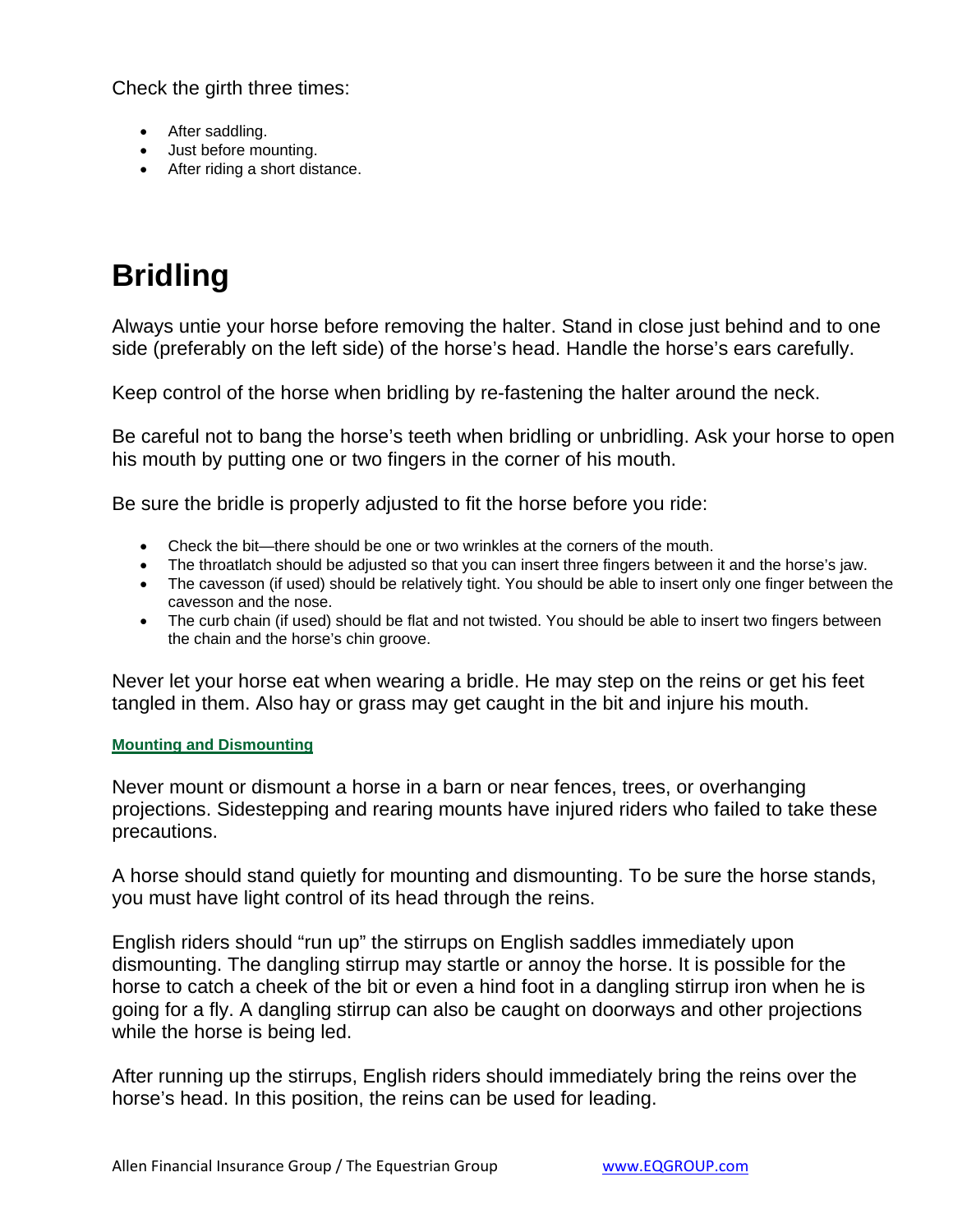Check the girth three times:

- After saddling.
- Just before mounting.
- After riding a short distance.

## **Bridling**

Always untie your horse before removing the halter. Stand in close just behind and to one side (preferably on the left side) of the horse's head. Handle the horse's ears carefully.

Keep control of the horse when bridling by re-fastening the halter around the neck.

Be careful not to bang the horse's teeth when bridling or unbridling. Ask your horse to open his mouth by putting one or two fingers in the corner of his mouth.

Be sure the bridle is properly adjusted to fit the horse before you ride:

- Check the bit—there should be one or two wrinkles at the corners of the mouth.
- The throatlatch should be adjusted so that you can insert three fingers between it and the horse's jaw.
- The cavesson (if used) should be relatively tight. You should be able to insert only one finger between the cavesson and the nose.
- The curb chain (if used) should be flat and not twisted. You should be able to insert two fingers between the chain and the horse's chin groove.

Never let your horse eat when wearing a bridle. He may step on the reins or get his feet tangled in them. Also hay or grass may get caught in the bit and injure his mouth.

#### **Mounting and Dismounting**

Never mount or dismount a horse in a barn or near fences, trees, or overhanging projections. Sidestepping and rearing mounts have injured riders who failed to take these precautions.

A horse should stand quietly for mounting and dismounting. To be sure the horse stands, you must have light control of its head through the reins.

English riders should "run up" the stirrups on English saddles immediately upon dismounting. The dangling stirrup may startle or annoy the horse. It is possible for the horse to catch a cheek of the bit or even a hind foot in a dangling stirrup iron when he is going for a fly. A dangling stirrup can also be caught on doorways and other projections while the horse is being led.

After running up the stirrups, English riders should immediately bring the reins over the horse's head. In this position, the reins can be used for leading.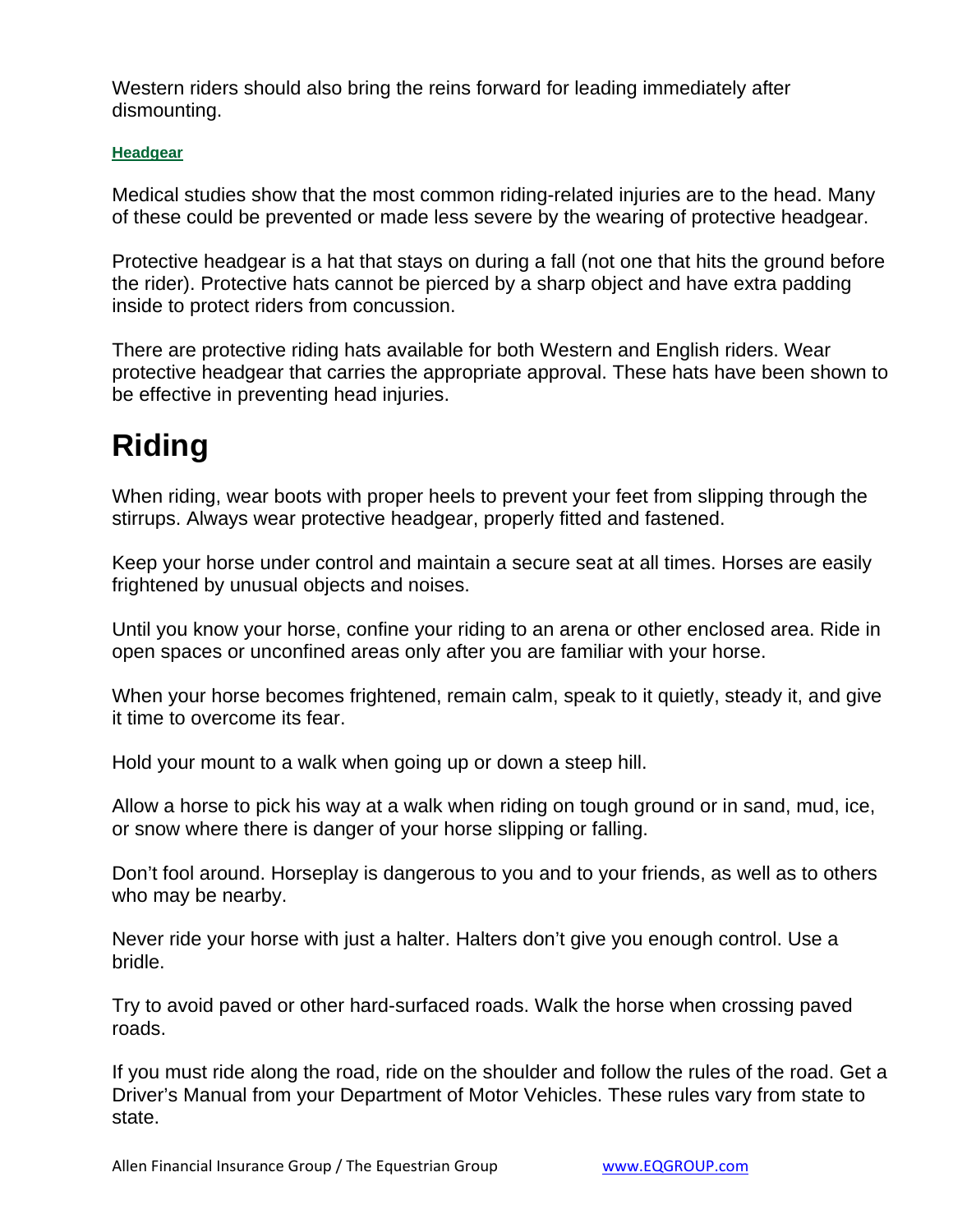Western riders should also bring the reins forward for leading immediately after dismounting.

#### **Headgear**

Medical studies show that the most common riding-related injuries are to the head. Many of these could be prevented or made less severe by the wearing of protective headgear.

Protective headgear is a hat that stays on during a fall (not one that hits the ground before the rider). Protective hats cannot be pierced by a sharp object and have extra padding inside to protect riders from concussion.

There are protective riding hats available for both Western and English riders. Wear protective headgear that carries the appropriate approval. These hats have been shown to be effective in preventing head injuries.

## **Riding**

When riding, wear boots with proper heels to prevent your feet from slipping through the stirrups. Always wear protective headgear, properly fitted and fastened.

Keep your horse under control and maintain a secure seat at all times. Horses are easily frightened by unusual objects and noises.

Until you know your horse, confine your riding to an arena or other enclosed area. Ride in open spaces or unconfined areas only after you are familiar with your horse.

When your horse becomes frightened, remain calm, speak to it quietly, steady it, and give it time to overcome its fear.

Hold your mount to a walk when going up or down a steep hill.

Allow a horse to pick his way at a walk when riding on tough ground or in sand, mud, ice, or snow where there is danger of your horse slipping or falling.

Don't fool around. Horseplay is dangerous to you and to your friends, as well as to others who may be nearby.

Never ride your horse with just a halter. Halters don't give you enough control. Use a bridle.

Try to avoid paved or other hard-surfaced roads. Walk the horse when crossing paved roads.

If you must ride along the road, ride on the shoulder and follow the rules of the road. Get a Driver's Manual from your Department of Motor Vehicles. These rules vary from state to state.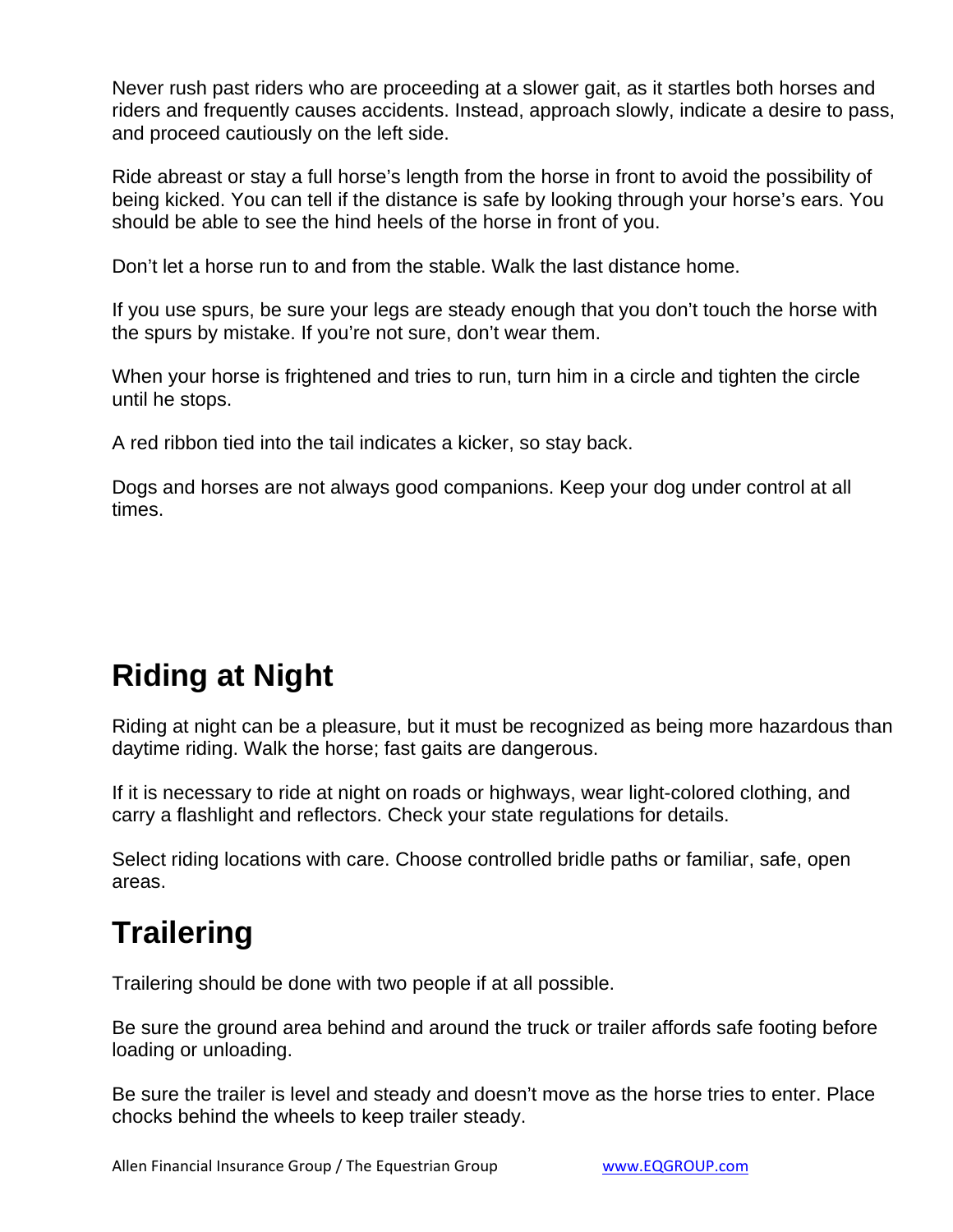Never rush past riders who are proceeding at a slower gait, as it startles both horses and riders and frequently causes accidents. Instead, approach slowly, indicate a desire to pass, and proceed cautiously on the left side.

Ride abreast or stay a full horse's length from the horse in front to avoid the possibility of being kicked. You can tell if the distance is safe by looking through your horse's ears. You should be able to see the hind heels of the horse in front of you.

Don't let a horse run to and from the stable. Walk the last distance home.

If you use spurs, be sure your legs are steady enough that you don't touch the horse with the spurs by mistake. If you're not sure, don't wear them.

When your horse is frightened and tries to run, turn him in a circle and tighten the circle until he stops.

A red ribbon tied into the tail indicates a kicker, so stay back.

Dogs and horses are not always good companions. Keep your dog under control at all times.

### **Riding at Night**

Riding at night can be a pleasure, but it must be recognized as being more hazardous than daytime riding. Walk the horse; fast gaits are dangerous.

If it is necessary to ride at night on roads or highways, wear light-colored clothing, and carry a flashlight and reflectors. Check your state regulations for details.

Select riding locations with care. Choose controlled bridle paths or familiar, safe, open areas.

### **Trailering**

Trailering should be done with two people if at all possible.

Be sure the ground area behind and around the truck or trailer affords safe footing before loading or unloading.

Be sure the trailer is level and steady and doesn't move as the horse tries to enter. Place chocks behind the wheels to keep trailer steady.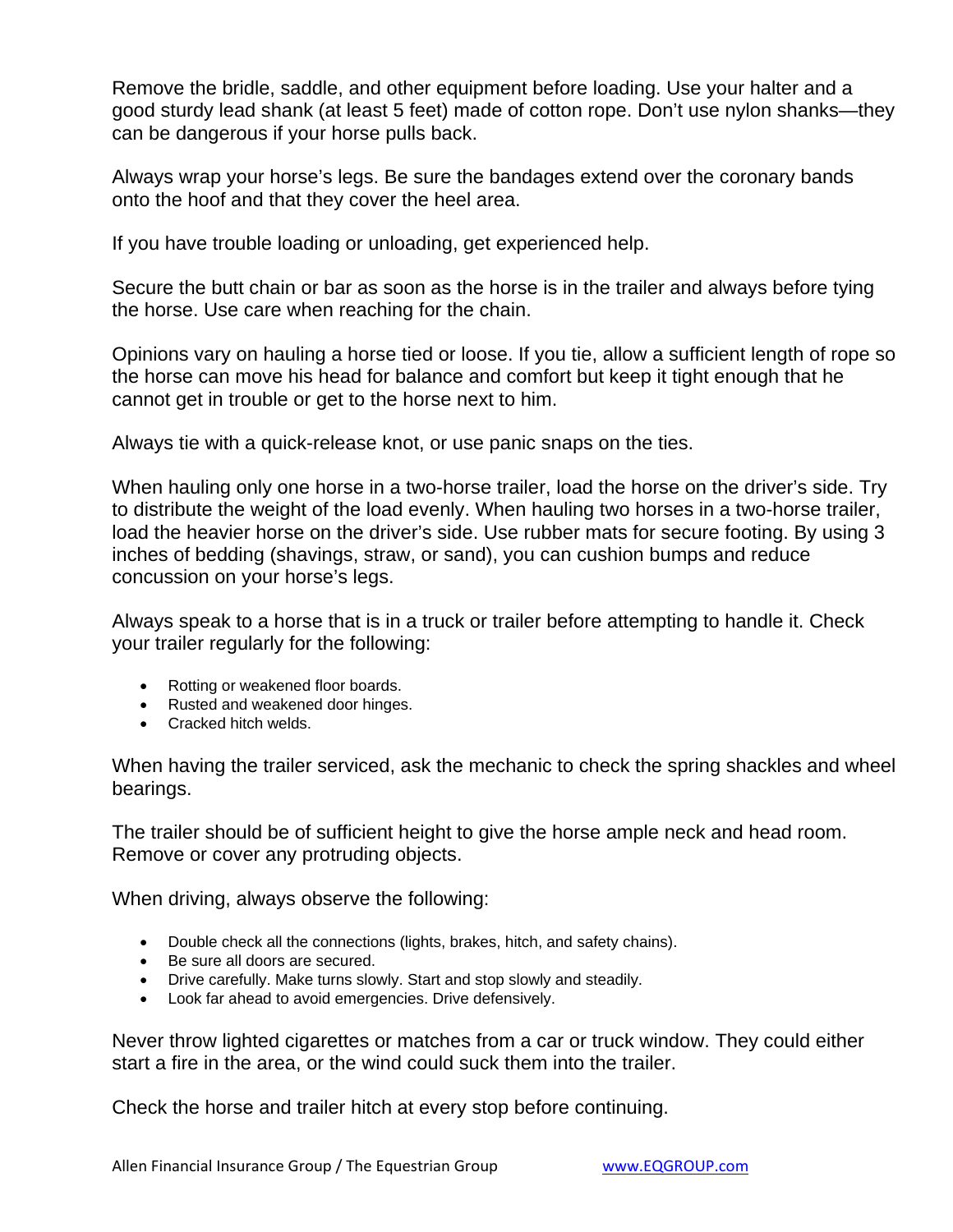Remove the bridle, saddle, and other equipment before loading. Use your halter and a good sturdy lead shank (at least 5 feet) made of cotton rope. Don't use nylon shanks—they can be dangerous if your horse pulls back.

Always wrap your horse's legs. Be sure the bandages extend over the coronary bands onto the hoof and that they cover the heel area.

If you have trouble loading or unloading, get experienced help.

Secure the butt chain or bar as soon as the horse is in the trailer and always before tying the horse. Use care when reaching for the chain.

Opinions vary on hauling a horse tied or loose. If you tie, allow a sufficient length of rope so the horse can move his head for balance and comfort but keep it tight enough that he cannot get in trouble or get to the horse next to him.

Always tie with a quick-release knot, or use panic snaps on the ties.

When hauling only one horse in a two-horse trailer, load the horse on the driver's side. Try to distribute the weight of the load evenly. When hauling two horses in a two-horse trailer, load the heavier horse on the driver's side. Use rubber mats for secure footing. By using 3 inches of bedding (shavings, straw, or sand), you can cushion bumps and reduce concussion on your horse's legs.

Always speak to a horse that is in a truck or trailer before attempting to handle it. Check your trailer regularly for the following:

- Rotting or weakened floor boards.
- Rusted and weakened door hinges.
- Cracked hitch welds.

When having the trailer serviced, ask the mechanic to check the spring shackles and wheel bearings.

The trailer should be of sufficient height to give the horse ample neck and head room. Remove or cover any protruding objects.

When driving, always observe the following:

- Double check all the connections (lights, brakes, hitch, and safety chains).
- Be sure all doors are secured.
- Drive carefully. Make turns slowly. Start and stop slowly and steadily.
- Look far ahead to avoid emergencies. Drive defensively.

Never throw lighted cigarettes or matches from a car or truck window. They could either start a fire in the area, or the wind could suck them into the trailer.

Check the horse and trailer hitch at every stop before continuing.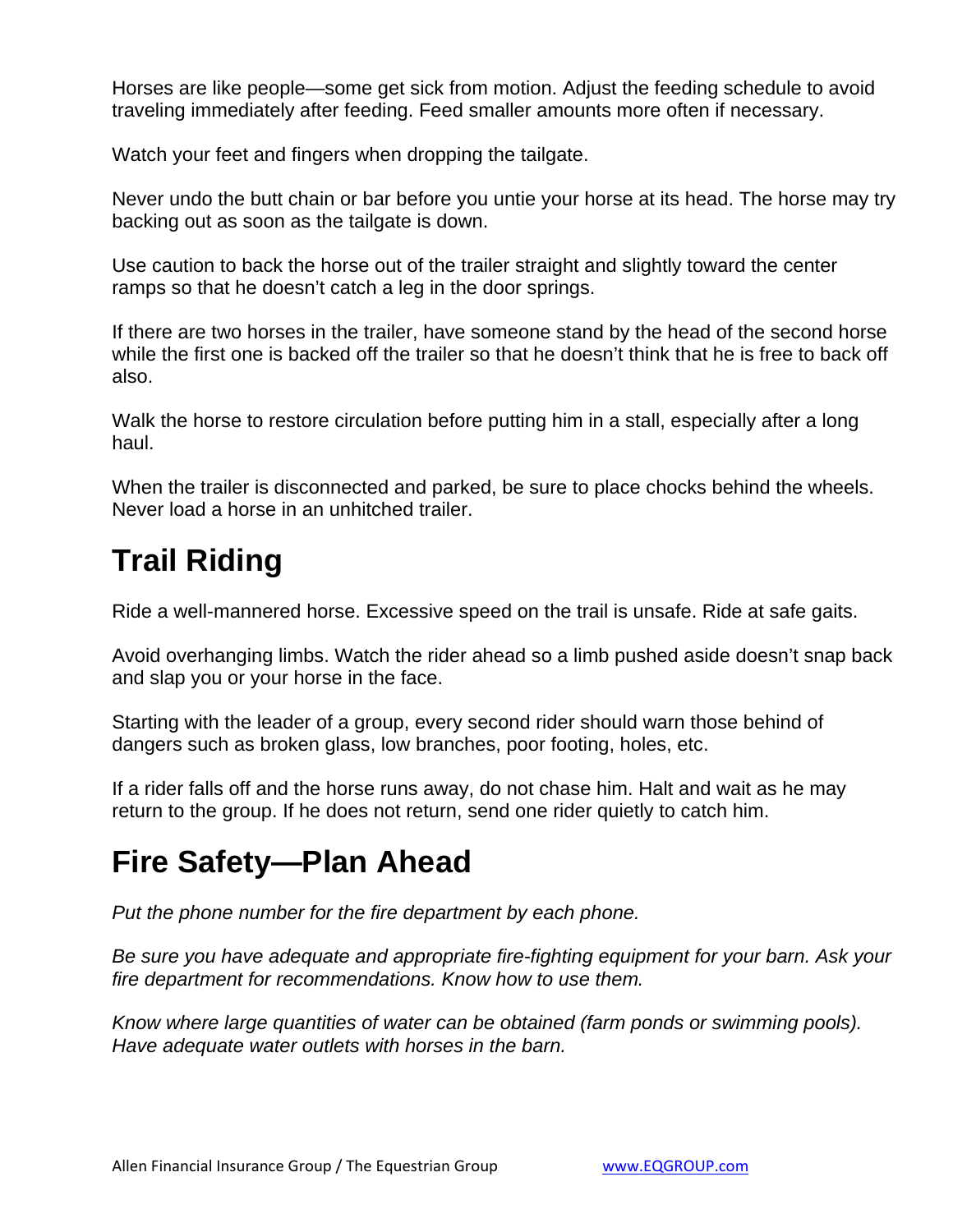Horses are like people—some get sick from motion. Adjust the feeding schedule to avoid traveling immediately after feeding. Feed smaller amounts more often if necessary.

Watch your feet and fingers when dropping the tailgate.

Never undo the butt chain or bar before you untie your horse at its head. The horse may try backing out as soon as the tailgate is down.

Use caution to back the horse out of the trailer straight and slightly toward the center ramps so that he doesn't catch a leg in the door springs.

If there are two horses in the trailer, have someone stand by the head of the second horse while the first one is backed off the trailer so that he doesn't think that he is free to back off also.

Walk the horse to restore circulation before putting him in a stall, especially after a long haul.

When the trailer is disconnected and parked, be sure to place chocks behind the wheels. Never load a horse in an unhitched trailer.

## **Trail Riding**

Ride a well-mannered horse. Excessive speed on the trail is unsafe. Ride at safe gaits.

Avoid overhanging limbs. Watch the rider ahead so a limb pushed aside doesn't snap back and slap you or your horse in the face.

Starting with the leader of a group, every second rider should warn those behind of dangers such as broken glass, low branches, poor footing, holes, etc.

If a rider falls off and the horse runs away, do not chase him. Halt and wait as he may return to the group. If he does not return, send one rider quietly to catch him.

### **Fire Safety—Plan Ahead**

*Put the phone number for the fire department by each phone.*

*Be sure you have adequate and appropriate fire-fighting equipment for your barn. Ask your fire department for recommendations. Know how to use them.*

*Know where large quantities of water can be obtained (farm ponds or swimming pools). Have adequate water outlets with horses in the barn.*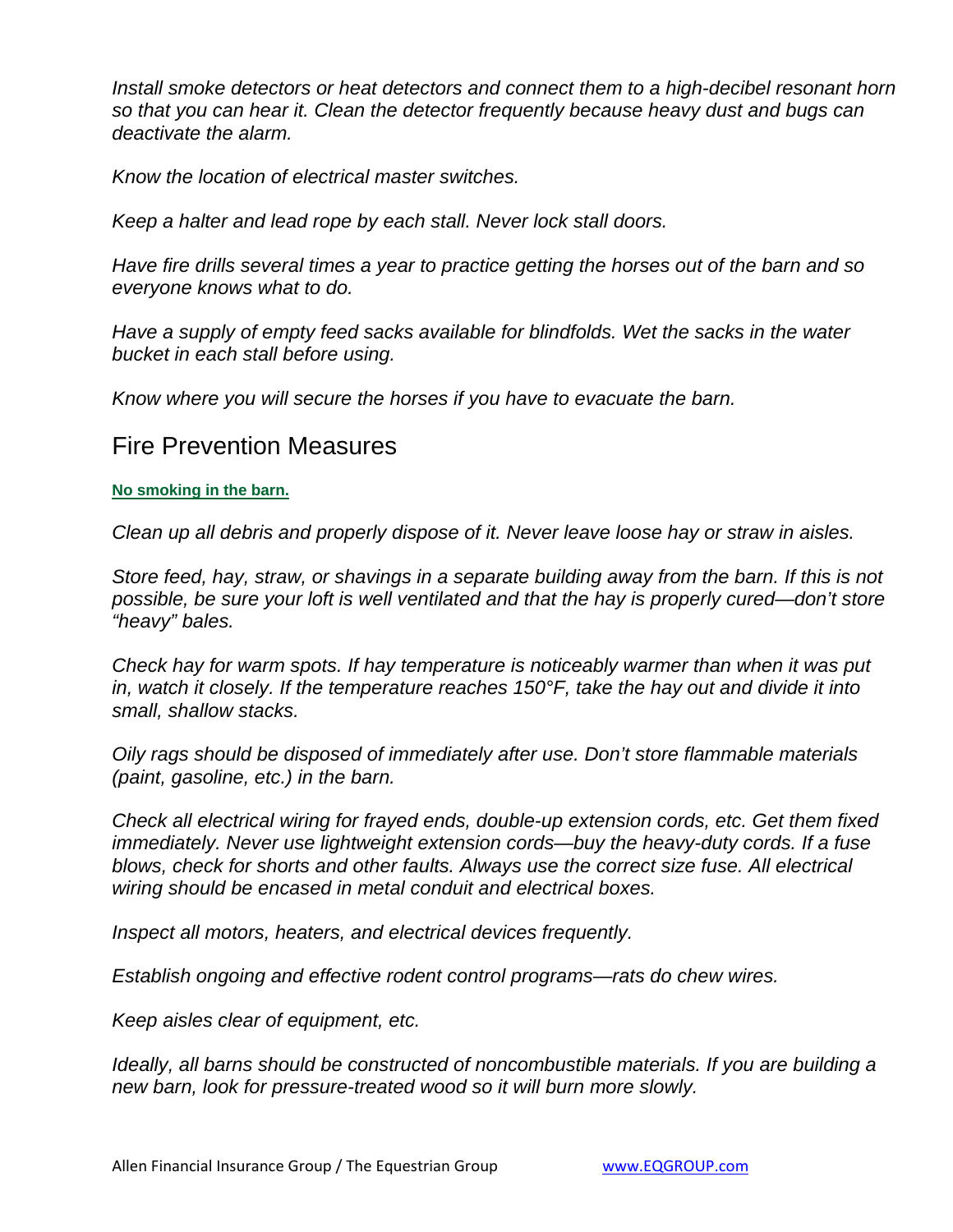*Install smoke detectors or heat detectors and connect them to a high-decibel resonant horn so that you can hear it. Clean the detector frequently because heavy dust and bugs can deactivate the alarm.*

*Know the location of electrical master switches.*

*Keep a halter and lead rope by each stall. Never lock stall doors.*

*Have fire drills several times a year to practice getting the horses out of the barn and so everyone knows what to do.*

*Have a supply of empty feed sacks available for blindfolds. Wet the sacks in the water bucket in each stall before using.*

*Know where you will secure the horses if you have to evacuate the barn.*

### Fire Prevention Measures

#### **No smoking in the barn.**

*Clean up all debris and properly dispose of it. Never leave loose hay or straw in aisles.*

*Store feed, hay, straw, or shavings in a separate building away from the barn. If this is not possible, be sure your loft is well ventilated and that the hay is properly cured—don't store "heavy" bales.*

*Check hay for warm spots. If hay temperature is noticeably warmer than when it was put in, watch it closely. If the temperature reaches 150°F, take the hay out and divide it into small, shallow stacks.*

*Oily rags should be disposed of immediately after use. Don't store flammable materials (paint, gasoline, etc.) in the barn.*

*Check all electrical wiring for frayed ends, double-up extension cords, etc. Get them fixed immediately. Never use lightweight extension cords—buy the heavy-duty cords. If a fuse blows, check for shorts and other faults. Always use the correct size fuse. All electrical wiring should be encased in metal conduit and electrical boxes.*

*Inspect all motors, heaters, and electrical devices frequently.*

*Establish ongoing and effective rodent control programs—rats do chew wires.*

*Keep aisles clear of equipment, etc.*

*Ideally, all barns should be constructed of noncombustible materials. If you are building a new barn, look for pressure-treated wood so it will burn more slowly.*